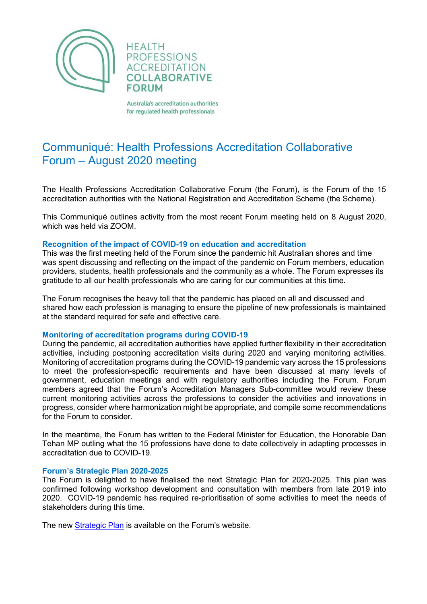

**HEALTH PROFESSIONS ACCREDITATION COLLABORATIVE FORUM** 

Australia's accreditation authorities for regulated health professionals

# Communiqué: Health Professions Accreditation Collaborative Forum – August 2020 meeting

The Health Professions Accreditation Collaborative Forum (the Forum), is the Forum of the 15 accreditation authorities with the National Registration and Accreditation Scheme (the Scheme).

This Communiqué outlines activity from the most recent Forum meeting held on 8 August 2020, which was held via ZOOM

## **Recognition of the impact of COVID-19 on education and accreditation**

This was the first meeting held of the Forum since the pandemic hit Australian shores and time was spent discussing and reflecting on the impact of the pandemic on Forum members, education providers, students, health professionals and the community as a whole. The Forum expresses its gratitude to all our health professionals who are caring for our communities at this time.

The Forum recognises the heavy toll that the pandemic has placed on all and discussed and shared how each profession is managing to ensure the pipeline of new professionals is maintained at the standard required for safe and effective care.

### **Monitoring of accreditation programs during COVID-19**

During the pandemic, all accreditation authorities have applied further flexibility in their accreditation activities, including postponing accreditation visits during 2020 and varying monitoring activities. Monitoring of accreditation programs during the COVID-19 pandemic vary across the 15 professions to meet the profession-specific requirements and have been discussed at many levels of government, education meetings and with regulatory authorities including the Forum. Forum members agreed that the Forum's Accreditation Managers Sub-committee would review these current monitoring activities across the professions to consider the activities and innovations in progress, consider where harmonization might be appropriate, and compile some recommendations for the Forum to consider.

In the meantime, the Forum has written to the Federal Minister for Education, the Honorable Dan Tehan MP outling what the 15 professions have done to date collectively in adapting processes in accreditation due to COVID-19.

## **Forum's Strategic Plan 2020-2025**

The Forum is delighted to have finalised the next Strategic Plan for 2020-2025. This plan was confirmed following workshop development and consultation with members from late 2019 into 2020. COVID-19 pandemic has required re-prioritisation of some activities to meet the needs of stakeholders during this time.

The new [Strategic Plan](http://hpacf.org.au/about/) is available on the Forum's website.